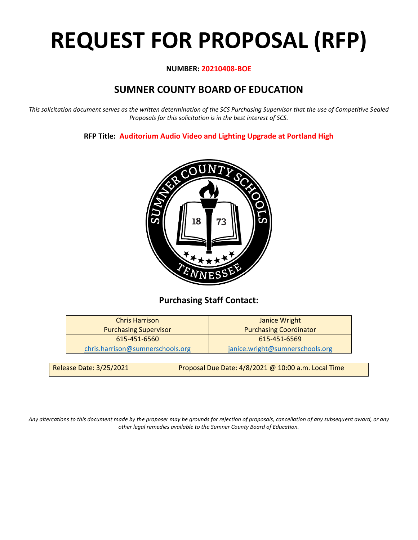# **REQUEST FOR PROPOSAL (RFP)**

#### **NUMBER: 20210408-BOE**

# **SUMNER COUNTY BOARD OF EDUCATION**

*This solicitation document serves as the written determination of the SCS Purchasing Supervisor that the use of Competitive Sealed Proposals for this solicitation is in the best interest of SCS.*

**RFP Title: Auditorium Audio Video and Lighting Upgrade at Portland High**



## **Purchasing Staff Contact:**

| <b>Chris Harrison</b>            | Janice Wright                   |
|----------------------------------|---------------------------------|
| <b>Purchasing Supervisor</b>     | <b>Purchasing Coordinator</b>   |
| 615-451-6560                     | 615-451-6569                    |
| chris.harrison@sumnerschools.org | janice.wright@sumnerschools.org |
|                                  |                                 |

| Release Date: 3/25/2021 | Proposal Due Date: $4/8/2021$ @ 10:00 a.m. Local Time |
|-------------------------|-------------------------------------------------------|
|                         |                                                       |

*Any altercations to this document made by the proposer may be grounds for rejection of proposals, cancellation of any subsequent award, or any other legal remedies available to the Sumner County Board of Education.*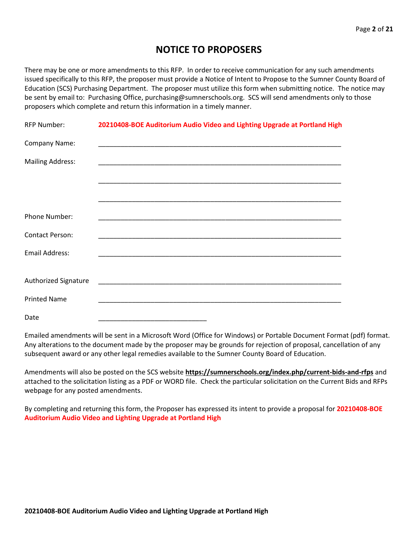## **NOTICE TO PROPOSERS**

There may be one or more amendments to this RFP. In order to receive communication for any such amendments issued specifically to this RFP, the proposer must provide a Notice of Intent to Propose to the Sumner County Board of Education (SCS) Purchasing Department. The proposer must utilize this form when submitting notice. The notice may be sent by email to: Purchasing Office, purchasing@sumnerschools.org. SCS will send amendments only to those proposers which complete and return this information in a timely manner.

| <b>RFP Number:</b>          | 20210408-BOE Auditorium Audio Video and Lighting Upgrade at Portland High                                               |
|-----------------------------|-------------------------------------------------------------------------------------------------------------------------|
| Company Name:               |                                                                                                                         |
| <b>Mailing Address:</b>     |                                                                                                                         |
|                             | <u> 1989 - Johann John Stoff, deutscher Stoff als der Stoff als der Stoff als der Stoff als der Stoff als der Stoff</u> |
|                             |                                                                                                                         |
| <b>Phone Number:</b>        |                                                                                                                         |
| <b>Contact Person:</b>      |                                                                                                                         |
| <b>Email Address:</b>       |                                                                                                                         |
|                             |                                                                                                                         |
| <b>Authorized Signature</b> |                                                                                                                         |
| <b>Printed Name</b>         | <u> 1989 - Johann Stoff, amerikansk politiker (d. 1989)</u>                                                             |
| Date                        |                                                                                                                         |

Emailed amendments will be sent in a Microsoft Word (Office for Windows) or Portable Document Format (pdf) format. Any alterations to the document made by the proposer may be grounds for rejection of proposal, cancellation of any subsequent award or any other legal remedies available to the Sumner County Board of Education.

Amendments will also be posted on the SCS website **https://sumnerschools.org/index.php/current-bids-and-rfps** and attached to the solicitation listing as a PDF or WORD file. Check the particular solicitation on the Current Bids and RFPs webpage for any posted amendments.

By completing and returning this form, the Proposer has expressed its intent to provide a proposal for **20210408-BOE Auditorium Audio Video and Lighting Upgrade at Portland High**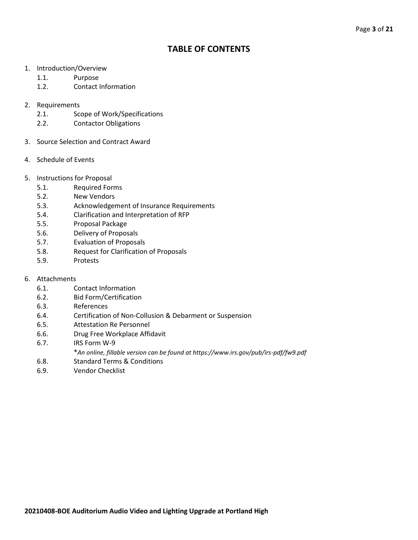## **TABLE OF CONTENTS**

- 1. Introduction/Overview
	- 1.1. Purpose
	- 1.2. Contact Information
- 2. Requirements
	- 2.1. Scope of Work/Specifications
	- 2.2. Contactor Obligations
- 3. Source Selection and Contract Award
- 4. Schedule of Events
- 5. Instructions for Proposal
	- 5.1. Required Forms
	- 5.2. New Vendors
	- 5.3. Acknowledgement of Insurance Requirements
	- 5.4. Clarification and Interpretation of RFP
	- 5.5. Proposal Package
	- 5.6. Delivery of Proposals
	- 5.7. Evaluation of Proposals
	- 5.8. Request for Clarification of Proposals
	- 5.9. Protests
- 6. Attachments
	- 6.1. Contact Information
	- 6.2. Bid Form/Certification
	- 6.3. References
	- 6.4. Certification of Non-Collusion & Debarment or Suspension
	- 6.5. Attestation Re Personnel
	- 6.6. Drug Free Workplace Affidavit
	- 6.7. IRS Form W-9
		- \**An online, fillable version can be found at https://www.irs.gov/pub/irs-pdf/fw9.pdf*
	- 6.8. Standard Terms & Conditions
	- 6.9. Vendor Checklist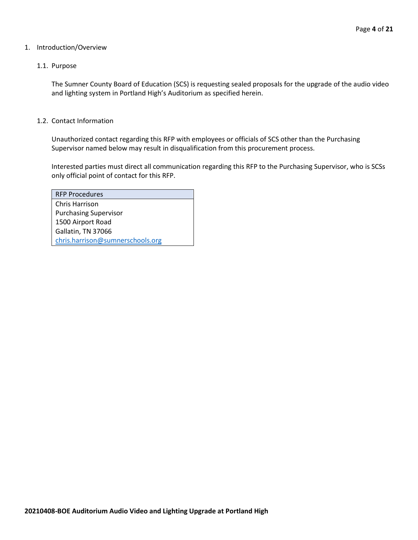#### 1. Introduction/Overview

#### 1.1. Purpose

The Sumner County Board of Education (SCS) is requesting sealed proposals for the upgrade of the audio video and lighting system in Portland High's Auditorium as specified herein.

#### 1.2. Contact Information

Unauthorized contact regarding this RFP with employees or officials of SCS other than the Purchasing Supervisor named below may result in disqualification from this procurement process.

Interested parties must direct all communication regarding this RFP to the Purchasing Supervisor, who is SCSs only official point of contact for this RFP.

| <b>RFP Procedures</b>            |
|----------------------------------|
| Chris Harrison                   |
| <b>Purchasing Supervisor</b>     |
| 1500 Airport Road                |
| Gallatin, TN 37066               |
| chris.harrison@sumnerschools.org |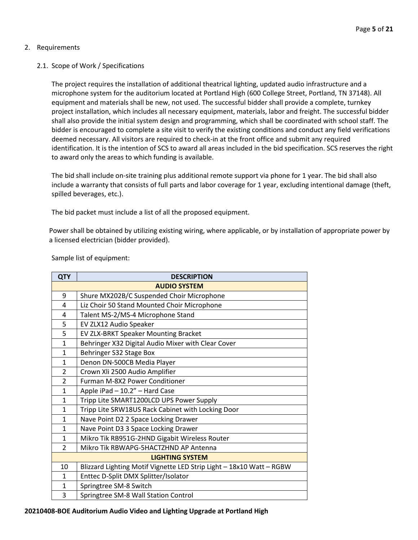#### 2. Requirements

#### 2.1. Scope of Work / Specifications

The project requires the installation of additional theatrical lighting, updated audio infrastructure and a microphone system for the auditorium located at Portland High (600 College Street, Portland, TN 37148). All equipment and materials shall be new, not used. The successful bidder shall provide a complete, turnkey project installation, which includes all necessary equipment, materials, labor and freight. The successful bidder shall also provide the initial system design and programming, which shall be coordinated with school staff. The bidder is encouraged to complete a site visit to verify the existing conditions and conduct any field verifications deemed necessary. All visitors are required to check-in at the front office and submit any required identification. It is the intention of SCS to award all areas included in the bid specification. SCS reserves the right to award only the areas to which funding is available.

The bid shall include on-site training plus additional remote support via phone for 1 year. The bid shall also include a warranty that consists of full parts and labor coverage for 1 year, excluding intentional damage (theft, spilled beverages, etc.).

The bid packet must include a list of all the proposed equipment.

Power shall be obtained by utilizing existing wiring, where applicable, or by installation of appropriate power by a licensed electrician (bidder provided).

| <b>QTY</b>             | <b>DESCRIPTION</b>                                                   |  |  |
|------------------------|----------------------------------------------------------------------|--|--|
|                        | <b>AUDIO SYSTEM</b>                                                  |  |  |
| 9                      | Shure MX202B/C Suspended Choir Microphone                            |  |  |
| 4                      | Liz Choir 50 Stand Mounted Choir Microphone                          |  |  |
| 4                      | Talent MS-2/MS-4 Microphone Stand                                    |  |  |
| 5                      | EV ZLX12 Audio Speaker                                               |  |  |
| 5                      | EV ZLX-BRKT Speaker Mounting Bracket                                 |  |  |
| $\mathbf{1}$           | Behringer X32 Digital Audio Mixer with Clear Cover                   |  |  |
| $\mathbf{1}$           | Behringer S32 Stage Box                                              |  |  |
| $\mathbf{1}$           | Denon DN-500CB Media Player                                          |  |  |
| $\overline{2}$         | Crown Xli 2500 Audio Amplifier                                       |  |  |
| $\overline{2}$         | Furman M-8X2 Power Conditioner                                       |  |  |
| $\mathbf{1}$           | Apple iPad - 10.2" - Hard Case                                       |  |  |
| $\mathbf{1}$           | Tripp Lite SMART1200LCD UPS Power Supply                             |  |  |
| 1                      | Tripp Lite SRW18US Rack Cabinet with Locking Door                    |  |  |
| $\mathbf{1}$           | Nave Point D2 2 Space Locking Drawer                                 |  |  |
| $\mathbf{1}$           | Nave Point D3 3 Space Locking Drawer                                 |  |  |
| $\mathbf{1}$           | Mikro Tik RB951G-2HND Gigabit Wireless Router                        |  |  |
| $\overline{2}$         | Mikro Tik RBWAPG-5HACTZHND AP Antenna                                |  |  |
| <b>LIGHTING SYSTEM</b> |                                                                      |  |  |
| 10                     | Blizzard Lighting Motif Vignette LED Strip Light - 18x10 Watt - RGBW |  |  |
| 1                      | Enttec D-Split DMX Splitter/Isolator                                 |  |  |
| 1                      | Springtree SM-8 Switch                                               |  |  |
| 3                      | Springtree SM-8 Wall Station Control                                 |  |  |

Sample list of equipment: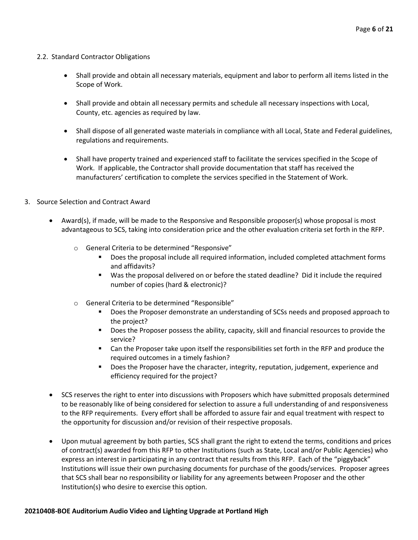#### 2.2. Standard Contractor Obligations

- Shall provide and obtain all necessary materials, equipment and labor to perform all items listed in the Scope of Work.
- Shall provide and obtain all necessary permits and schedule all necessary inspections with Local, County, etc. agencies as required by law.
- Shall dispose of all generated waste materials in compliance with all Local, State and Federal guidelines, regulations and requirements.
- Shall have property trained and experienced staff to facilitate the services specified in the Scope of Work. If applicable, the Contractor shall provide documentation that staff has received the manufacturers' certification to complete the services specified in the Statement of Work.
- 3. Source Selection and Contract Award
	- Award(s), if made, will be made to the Responsive and Responsible proposer(s) whose proposal is most advantageous to SCS, taking into consideration price and the other evaluation criteria set forth in the RFP.
		- o General Criteria to be determined "Responsive"
			- Does the proposal include all required information, included completed attachment forms and affidavits?
			- Was the proposal delivered on or before the stated deadline? Did it include the required number of copies (hard & electronic)?
		- o General Criteria to be determined "Responsible"
			- Does the Proposer demonstrate an understanding of SCSs needs and proposed approach to the project?
			- Does the Proposer possess the ability, capacity, skill and financial resources to provide the service?
			- Can the Proposer take upon itself the responsibilities set forth in the RFP and produce the required outcomes in a timely fashion?
			- **•** Does the Proposer have the character, integrity, reputation, judgement, experience and efficiency required for the project?
	- SCS reserves the right to enter into discussions with Proposers which have submitted proposals determined to be reasonably like of being considered for selection to assure a full understanding of and responsiveness to the RFP requirements. Every effort shall be afforded to assure fair and equal treatment with respect to the opportunity for discussion and/or revision of their respective proposals.
	- Upon mutual agreement by both parties, SCS shall grant the right to extend the terms, conditions and prices of contract(s) awarded from this RFP to other Institutions (such as State, Local and/or Public Agencies) who express an interest in participating in any contract that results from this RFP. Each of the "piggyback" Institutions will issue their own purchasing documents for purchase of the goods/services. Proposer agrees that SCS shall bear no responsibility or liability for any agreements between Proposer and the other Institution(s) who desire to exercise this option.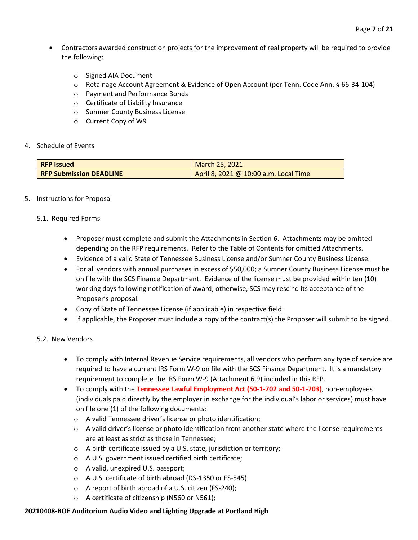- Contractors awarded construction projects for the improvement of real property will be required to provide the following:
	- o Signed AIA Document
	- o Retainage Account Agreement & Evidence of Open Account (per Tenn. Code Ann. § 66-34-104)
	- o Payment and Performance Bonds
	- o Certificate of Liability Insurance
	- o Sumner County Business License
	- o Current Copy of W9

#### 4. Schedule of Events

| <b>RFP Issued</b>              | March 25, 2021                        |
|--------------------------------|---------------------------------------|
| <b>RFP Submission DEADLINE</b> | April 8, 2021 @ 10:00 a.m. Local Time |

#### 5. Instructions for Proposal

#### 5.1. Required Forms

- Proposer must complete and submit the Attachments in Section 6. Attachments may be omitted depending on the RFP requirements. Refer to the Table of Contents for omitted Attachments.
- Evidence of a valid State of Tennessee Business License and/or Sumner County Business License.
- For all vendors with annual purchases in excess of \$50,000; a Sumner County Business License must be on file with the SCS Finance Department. Evidence of the license must be provided within ten (10) working days following notification of award; otherwise, SCS may rescind its acceptance of the Proposer's proposal.
- Copy of State of Tennessee License (if applicable) in respective field.
- If applicable, the Proposer must include a copy of the contract(s) the Proposer will submit to be signed.

#### 5.2. New Vendors

- To comply with Internal Revenue Service requirements, all vendors who perform any type of service are required to have a current IRS Form W-9 on file with the SCS Finance Department. It is a mandatory requirement to complete the IRS Form W-9 (Attachment 6.9) included in this RFP.
- To comply with the **Tennessee Lawful Employment Act (50-1-702 and 50-1-703)**, non-employees (individuals paid directly by the employer in exchange for the individual's labor or services) must have on file one (1) of the following documents:
	- o A valid Tennessee driver's license or photo identification;
	- $\circ$  A valid driver's license or photo identification from another state where the license requirements are at least as strict as those in Tennessee;
	- o A birth certificate issued by a U.S. state, jurisdiction or territory;
	- o A U.S. government issued certified birth certificate;
	- o A valid, unexpired U.S. passport;
	- o A U.S. certificate of birth abroad (DS-1350 or FS-545)
	- o A report of birth abroad of a U.S. citizen (FS-240);
	- o A certificate of citizenship (N560 or N561);

#### **20210408-BOE Auditorium Audio Video and Lighting Upgrade at Portland High**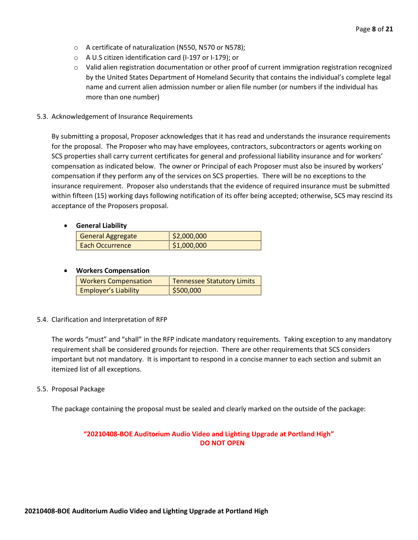- o A certificate of naturalization (N550, N570 or N578);
- o A U.S citizen identification card (I-197 or I-179); or
- o Valid alien registration documentation or other proof of current immigration registration recognized by the United States Department of Homeland Security that contains the individual's complete legal name and current alien admission number or alien file number (or numbers if the individual has more than one number)
- 5.3. Acknowledgement of Insurance Requirements

By submitting a proposal, Proposer acknowledges that it has read and understands the insurance requirements for the proposal. The Proposer who may have employees, contractors, subcontractors or agents working on SCS properties shall carry current certificates for general and professional liability insurance and for workers' compensation as indicated below. The owner or Principal of each Proposer must also be insured by workers' compensation if they perform any of the services on SCS properties. There will be no exceptions to the insurance requirement. Proposer also understands that the evidence of required insurance must be submitted within fifteen (15) working days following notification of its offer being accepted; otherwise, SCS may rescind its acceptance of the Proposers proposal.

#### • **General Liability**

| <b>General Aggregate</b> | \$2,000,000 |
|--------------------------|-------------|
| <b>Each Occurrence</b>   | \$1,000,000 |

#### • **Workers Compensation**

| <b>Workers Compensation</b> | <b>Tennessee Statutory Limits</b> |
|-----------------------------|-----------------------------------|
| <b>Employer's Liability</b> | \$500,000                         |

#### 5.4. Clarification and Interpretation of RFP

The words "must" and "shall" in the RFP indicate mandatory requirements. Taking exception to any mandatory requirement shall be considered grounds for rejection. There are other requirements that SCS considers important but not mandatory. It is important to respond in a concise manner to each section and submit an itemized list of all exceptions.

#### 5.5. Proposal Package

The package containing the proposal must be sealed and clearly marked on the outside of the package:

#### **"20210408-BOE Auditorium Audio Video and Lighting Upgrade at Portland High" DO NOT OPEN**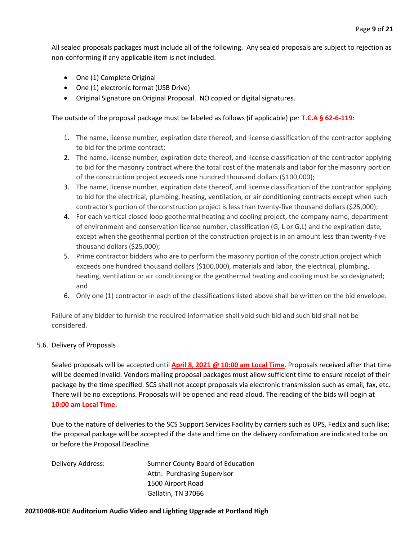All sealed proposals packages must include all of the following. Any sealed proposals are subject to rejection as non-conforming if any applicable item is not included.

- One (1) Complete Original
- One (1) electronic format (USB Drive)
- Original Signature on Original Proposal. NO copied or digital signatures.

#### The outside of the proposal package must be labeled as follows (if applicable) per **T.C.A § 62-6-119**:

- 1. The name, license number, expiration date thereof, and license classification of the contractor applying to bid for the prime contract;
- 2. The name, license number, expiration date thereof, and license classification of the contractor applying to bid for the masonry contract where the total cost of the materials and labor for the masonry portion of the construction project exceeds one hundred thousand dollars (\$100,000);
- 3. The name, license number, expiration date thereof, and license classification of the contractor applying to bid for the electrical, plumbing, heating, ventilation, or air conditioning contracts except when such contractor's portion of the construction project is less than twenty-five thousand dollars (\$25,000);
- 4. For each vertical closed loop geothermal heating and cooling project, the company name, department of environment and conservation license number, classification (G, L or G,L) and the expiration date, except when the geothermal portion of the construction project is in an amount less than twenty-five thousand dollars (\$25,000);
- 5. Prime contractor bidders who are to perform the masonry portion of the construction project which exceeds one hundred thousand dollars (\$100,000), materials and labor, the electrical, plumbing, heating, ventilation or air conditioning or the geothermal heating and cooling must be so designated; and
- 6. Only one (1) contractor in each of the classifications listed above shall be written on the bid envelope.

Failure of any bidder to furnish the required information shall void such bid and such bid shall not be considered.

#### 5.6. Delivery of Proposals

Sealed proposals will be accepted until **April 8, 2021 @ 10:00 am Local Time**. Proposals received after that time will be deemed invalid. Vendors mailing proposal packages must allow sufficient time to ensure receipt of their package by the time specified. SCS shall not accept proposals via electronic transmission such as email, fax, etc. There will be no exceptions. Proposals will be opened and read aloud. The reading of the bids will begin at **10:00 am Local Time**.

Due to the nature of deliveries to the SCS Support Services Facility by carriers such as UPS, FedEx and such like; the proposal package will be accepted if the date and time on the delivery confirmation are indicated to be on or before the Proposal Deadline.

Delivery Address: Sumner County Board of Education Attn: Purchasing Supervisor 1500 Airport Road Gallatin, TN 37066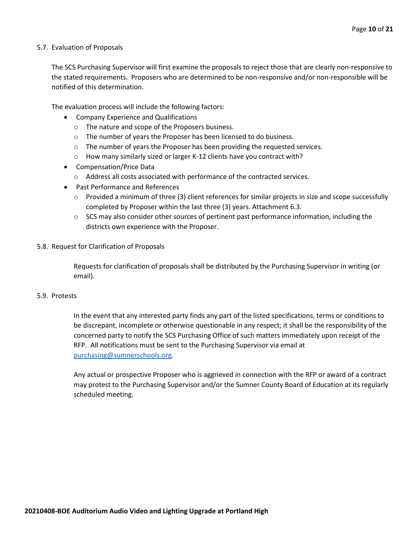#### 5.7. Evaluation of Proposals

The SCS Purchasing Supervisor will first examine the proposals to reject those that are clearly non-responsive to the stated requirements. Proposers who are determined to be non-responsive and/or non-responsible will be notified of this determination.

The evaluation process will include the following factors:

- Company Experience and Qualifications
	- o The nature and scope of the Proposers business.
	- $\circ$  The number of years the Proposer has been licensed to do business.
	- $\circ$  The number of years the Proposer has been providing the requested services.
	- o How many similarly sized or larger K-12 clients have you contract with?
- Compensation/Price Data
	- o Address all costs associated with performance of the contracted services.
- Past Performance and References
	- $\circ$  Provided a minimum of three (3) client references for similar projects in size and scope successfully completed by Proposer within the last three (3) years. Attachment 6.3.
	- $\circ$  SCS may also consider other sources of pertinent past performance information, including the districts own experience with the Proposer.
- 5.8. Request for Clarification of Proposals

Requests for clarification of proposals shall be distributed by the Purchasing Supervisor in writing (or email).

#### 5.9. Protests

In the event that any interested party finds any part of the listed specifications, terms or conditions to be discrepant, incomplete or otherwise questionable in any respect; it shall be the responsibility of the concerned party to notify the SCS Purchasing Office of such matters immediately upon receipt of the RFP. All notifications must be sent to the Purchasing Supervisor via email at [purchasing@sumnerschools.org.](mailto:purchasing@sumnerschools.org)

Any actual or prospective Proposer who is aggrieved in connection with the RFP or award of a contract may protest to the Purchasing Supervisor and/or the Sumner County Board of Education at its regularly scheduled meeting.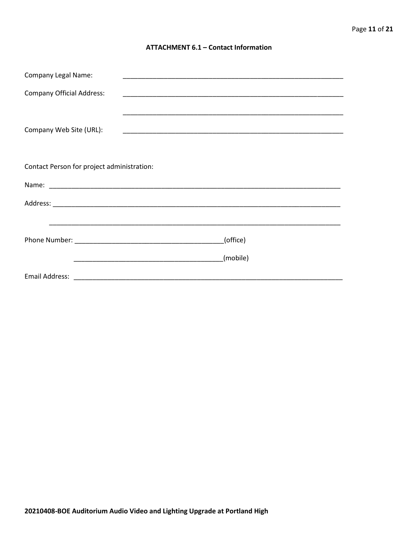#### **ATTACHMENT 6.1 - Contact Information**

| <b>Company Legal Name:</b>                 |  | <u> 1989 - Johann John Stone, markin film yn y brening yn y brening yn y brening yn y brening yn y brening y bre</u> |  |
|--------------------------------------------|--|----------------------------------------------------------------------------------------------------------------------|--|
| <b>Company Official Address:</b>           |  |                                                                                                                      |  |
|                                            |  |                                                                                                                      |  |
|                                            |  |                                                                                                                      |  |
| Company Web Site (URL):                    |  |                                                                                                                      |  |
|                                            |  |                                                                                                                      |  |
| Contact Person for project administration: |  |                                                                                                                      |  |
|                                            |  |                                                                                                                      |  |
|                                            |  |                                                                                                                      |  |
|                                            |  |                                                                                                                      |  |
|                                            |  |                                                                                                                      |  |
| (office)                                   |  |                                                                                                                      |  |
|                                            |  | (mobile)                                                                                                             |  |
|                                            |  |                                                                                                                      |  |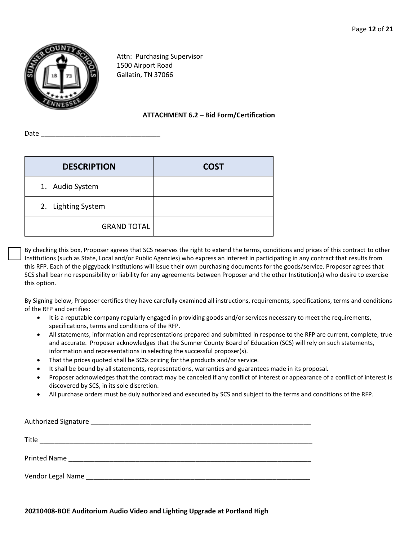

Attn: Purchasing Supervisor 1500 Airport Road Gallatin, TN 37066

#### **ATTACHMENT 6.2 – Bid Form/Certification**

Date \_\_\_\_\_\_\_\_\_\_\_\_\_\_\_\_\_\_\_\_\_\_\_\_\_\_\_\_\_\_\_\_

| <b>DESCRIPTION</b> | <b>COST</b> |
|--------------------|-------------|
| 1. Audio System    |             |
| 2. Lighting System |             |
| <b>GRAND TOTAL</b> |             |

By checking this box, Proposer agrees that SCS reserves the right to extend the terms, conditions and prices of this contract to other Institutions (such as State, Local and/or Public Agencies) who express an interest in participating in any contract that results from this RFP. Each of the piggyback Institutions will issue their own purchasing documents for the goods/service. Proposer agrees that SCS shall bear no responsibility or liability for any agreements between Proposer and the other Institution(s) who desire to exercise this option.

By Signing below, Proposer certifies they have carefully examined all instructions, requirements, specifications, terms and conditions of the RFP and certifies:

- It is a reputable company regularly engaged in providing goods and/or services necessary to meet the requirements, specifications, terms and conditions of the RFP.
- All statements, information and representations prepared and submitted in response to the RFP are current, complete, true and accurate. Proposer acknowledges that the Sumner County Board of Education (SCS) will rely on such statements, information and representations in selecting the successful proposer(s).
- That the prices quoted shall be SCSs pricing for the products and/or service.
- It shall be bound by all statements, representations, warranties and guarantees made in its proposal.
- Proposer acknowledges that the contract may be canceled if any conflict of interest or appearance of a conflict of interest is discovered by SCS, in its sole discretion.
- All purchase orders must be duly authorized and executed by SCS and subject to the terms and conditions of the RFP.

| Title<br><u> 1989 - Andrea Andrew Maria (h. 1989).</u> |
|--------------------------------------------------------|
|                                                        |
| Vendor Legal Name                                      |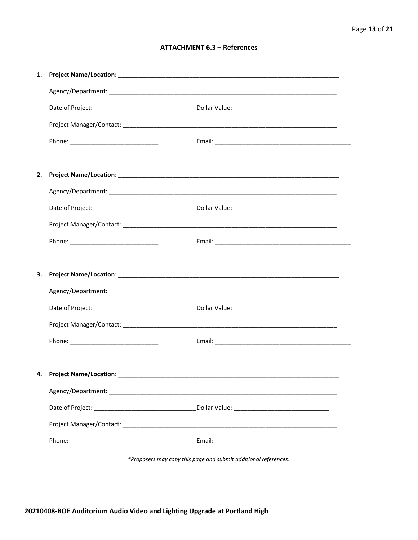#### **ATTACHMENT 6.3 - References**

| 1. |                           |  |
|----|---------------------------|--|
|    |                           |  |
|    |                           |  |
|    |                           |  |
|    |                           |  |
|    |                           |  |
| 2. |                           |  |
|    |                           |  |
|    |                           |  |
|    |                           |  |
|    |                           |  |
|    |                           |  |
| 3. |                           |  |
|    |                           |  |
|    |                           |  |
|    |                           |  |
|    |                           |  |
|    |                           |  |
|    | 4. Project Name/Location: |  |
|    |                           |  |
|    |                           |  |
|    |                           |  |
|    |                           |  |
|    |                           |  |

\*Proposers may copy this page and submit additional references.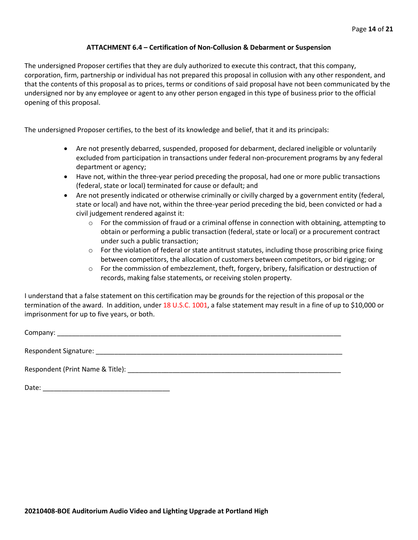#### **ATTACHMENT 6.4 – Certification of Non-Collusion & Debarment or Suspension**

The undersigned Proposer certifies that they are duly authorized to execute this contract, that this company, corporation, firm, partnership or individual has not prepared this proposal in collusion with any other respondent, and that the contents of this proposal as to prices, terms or conditions of said proposal have not been communicated by the undersigned nor by any employee or agent to any other person engaged in this type of business prior to the official opening of this proposal.

The undersigned Proposer certifies, to the best of its knowledge and belief, that it and its principals:

- Are not presently debarred, suspended, proposed for debarment, declared ineligible or voluntarily excluded from participation in transactions under federal non-procurement programs by any federal department or agency;
- Have not, within the three-year period preceding the proposal, had one or more public transactions (federal, state or local) terminated for cause or default; and
- Are not presently indicated or otherwise criminally or civilly charged by a government entity (federal, state or local) and have not, within the three-year period preceding the bid, been convicted or had a civil judgement rendered against it:
	- $\circ$  For the commission of fraud or a criminal offense in connection with obtaining, attempting to obtain or performing a public transaction (federal, state or local) or a procurement contract under such a public transaction;
	- $\circ$  For the violation of federal or state antitrust statutes, including those proscribing price fixing between competitors, the allocation of customers between competitors, or bid rigging; or
	- o For the commission of embezzlement, theft, forgery, bribery, falsification or destruction of records, making false statements, or receiving stolen property.

I understand that a false statement on this certification may be grounds for the rejection of this proposal or the termination of the award. In addition, under 18 U.S.C. 1001, a false statement may result in a fine of up to \$10,000 or imprisonment for up to five years, or both.

Company: \_\_\_\_\_\_\_\_\_\_\_\_\_\_\_\_\_\_\_\_\_\_\_\_\_\_\_\_\_\_\_\_\_\_\_\_\_\_\_\_\_\_\_\_\_\_\_\_\_\_\_\_\_\_\_\_\_\_\_\_\_\_\_\_\_\_\_\_\_\_\_\_\_\_\_\_

Respondent Signature: \_\_\_\_\_\_\_\_\_\_\_\_\_\_\_\_\_\_\_\_\_\_\_\_\_\_\_\_\_\_\_\_\_\_\_\_\_\_\_\_\_\_\_\_\_\_\_\_\_\_\_\_\_\_\_\_\_\_\_\_\_\_\_\_\_\_

Respondent (Print Name & Title): \_\_\_\_\_\_\_\_\_\_\_\_\_\_\_\_\_\_\_\_\_\_\_\_\_\_\_\_\_\_\_\_\_\_\_\_\_\_\_\_\_\_\_\_\_\_\_\_\_\_\_\_\_\_\_\_\_

Date: \_\_\_\_\_\_\_\_\_\_\_\_\_\_\_\_\_\_\_\_\_\_\_\_\_\_\_\_\_\_\_\_\_\_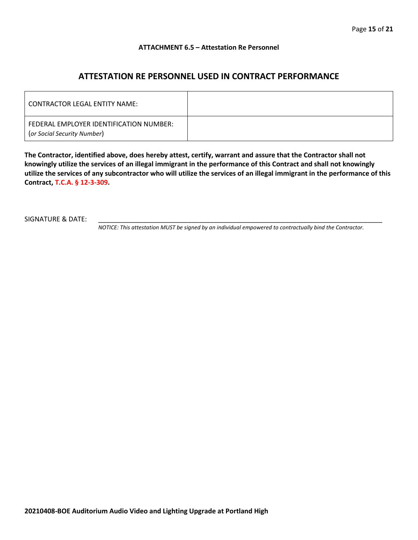#### **ATTACHMENT 6.5 – Attestation Re Personnel**

### **ATTESTATION RE PERSONNEL USED IN CONTRACT PERFORMANCE**

| CONTRACTOR LEGAL ENTITY NAME:                                          |  |
|------------------------------------------------------------------------|--|
| FEDERAL EMPLOYER IDENTIFICATION NUMBER:<br>(or Social Security Number) |  |

**The Contractor, identified above, does hereby attest, certify, warrant and assure that the Contractor shall not knowingly utilize the services of an illegal immigrant in the performance of this Contract and shall not knowingly utilize the services of any subcontractor who will utilize the services of an illegal immigrant in the performance of this Contract, T.C.A. § 12-3-309.**

SIGNATURE & DATE:

*NOTICE: This attestation MUST be signed by an individual empowered to contractually bind the Contractor.*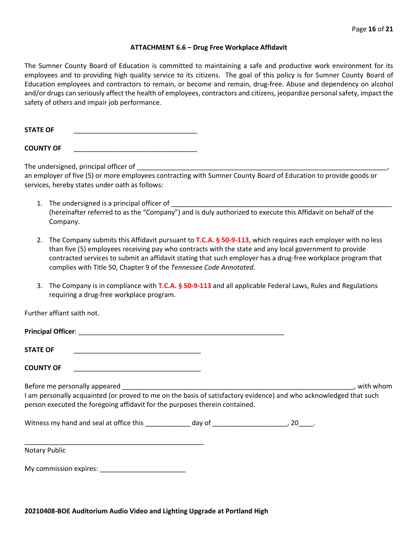#### **ATTACHMENT 6.6 – Drug Free Workplace Affidavit**

The Sumner County Board of Education is committed to maintaining a safe and productive work environment for its employees and to providing high quality service to its citizens. The goal of this policy is for Sumner County Board of Education employees and contractors to remain, or become and remain, drug-free. Abuse and dependency on alcohol and/or drugs can seriously affect the health of employees, contractors and citizens, jeopardize personal safety, impact the safety of others and impair job performance.

STATE OF

**COUNTY OF** \_\_\_\_\_\_\_\_\_\_\_\_\_\_\_\_\_\_\_\_\_\_\_\_\_\_\_\_\_\_\_\_\_

The undersigned, principal officer of

an employer of five (5) or more employees contracting with Sumner County Board of Education to provide goods or services, hereby states under oath as follows:

- 1. The undersigned is a principal officer of (hereinafter referred to as the "Company") and is duly authorized to execute this Affidavit on behalf of the Company.
- 2. The Company submits this Affidavit pursuant to **T.C.A. § 50-9-113**, which requires each employer with no less than five (5) employees receiving pay who contracts with the state and any local government to provide contracted services to submit an affidavit stating that such employer has a drug-free workplace program that complies with Title 50, Chapter 9 of the *Tennessee Code Annotated*.
- 3. The Company is in compliance with **T.C.A. § 50-9-113** and all applicable Federal Laws, Rules and Regulations requiring a drug-free workplace program.

Further affiant saith not.

| <b>Principal Officer:</b>                                                                                                                                                                        |           |
|--------------------------------------------------------------------------------------------------------------------------------------------------------------------------------------------------|-----------|
| <b>STATE OF</b>                                                                                                                                                                                  |           |
| <b>COUNTY OF</b>                                                                                                                                                                                 |           |
| Before me personally appeared                                                                                                                                                                    | with whom |
| I am personally acquainted (or proved to me on the basis of satisfactory evidence) and who acknowledged that such<br>person executed the foregoing affidavit for the purposes therein contained. |           |

Witness my hand and seal at office this \_\_\_\_\_\_\_\_\_\_\_\_\_ day of \_\_\_\_\_\_\_\_\_\_\_\_\_\_\_\_\_\_\_\_\_, 20\_\_\_\_.

\_\_\_\_\_\_\_\_\_\_\_\_\_\_\_\_\_\_\_\_\_\_\_\_\_\_\_\_\_\_\_\_\_\_\_\_\_\_\_\_\_\_\_\_\_\_\_\_ Notary Public

My commission expires: \_\_\_\_\_\_\_\_\_\_\_\_\_\_\_\_\_\_\_\_\_\_\_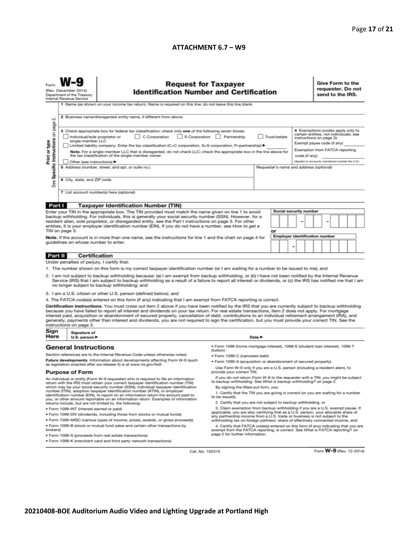#### **ATTACHMENT 6.7 – W9**

|                                                                                                                                                                                                                                                                                                                                                                                                                                                                                                                                                                                                                                                                                                                                                                                                                                                                                                                                                                                                                                                                                                                                                                                                                                                                                                                                                                                                                                                                                                                                                                                                                                                                                                                                                                                                                                                                                                                                                                                                                                                                                                                                                                                                                                                                                                                                                                                                                                                                                                                                                              | <b>Request for Taxpayer</b><br>(Rev. December 2014)<br><b>Identification Number and Certification</b><br>Department of the Treasury<br>Internal Revenue Service<br>1 Name (as shown on your income tax return). Name is required on this line; do not leave this line blank.                                                                                                                             |                                                                                                                                                     |                                                                                                                                                                                                                                       |  |                                                                                                                                                                         |  |  | Give Form to the<br>requester. Do not<br>send to the IRS. |  |  |                         |  |
|--------------------------------------------------------------------------------------------------------------------------------------------------------------------------------------------------------------------------------------------------------------------------------------------------------------------------------------------------------------------------------------------------------------------------------------------------------------------------------------------------------------------------------------------------------------------------------------------------------------------------------------------------------------------------------------------------------------------------------------------------------------------------------------------------------------------------------------------------------------------------------------------------------------------------------------------------------------------------------------------------------------------------------------------------------------------------------------------------------------------------------------------------------------------------------------------------------------------------------------------------------------------------------------------------------------------------------------------------------------------------------------------------------------------------------------------------------------------------------------------------------------------------------------------------------------------------------------------------------------------------------------------------------------------------------------------------------------------------------------------------------------------------------------------------------------------------------------------------------------------------------------------------------------------------------------------------------------------------------------------------------------------------------------------------------------------------------------------------------------------------------------------------------------------------------------------------------------------------------------------------------------------------------------------------------------------------------------------------------------------------------------------------------------------------------------------------------------------------------------------------------------------------------------------------------------|----------------------------------------------------------------------------------------------------------------------------------------------------------------------------------------------------------------------------------------------------------------------------------------------------------------------------------------------------------------------------------------------------------|-----------------------------------------------------------------------------------------------------------------------------------------------------|---------------------------------------------------------------------------------------------------------------------------------------------------------------------------------------------------------------------------------------|--|-------------------------------------------------------------------------------------------------------------------------------------------------------------------------|--|--|-----------------------------------------------------------|--|--|-------------------------|--|
| $\sim$<br>Specific Instructions on page                                                                                                                                                                                                                                                                                                                                                                                                                                                                                                                                                                                                                                                                                                                                                                                                                                                                                                                                                                                                                                                                                                                                                                                                                                                                                                                                                                                                                                                                                                                                                                                                                                                                                                                                                                                                                                                                                                                                                                                                                                                                                                                                                                                                                                                                                                                                                                                                                                                                                                                      | 2 Business name/disregarded entity name, if different from above<br>3 Check appropriate box for federal tax classification; check only one of the following seven boxes:<br>C Corporation S Corporation Partnership<br>Individual/sole proprietor or<br>Trust/estate<br>single-member LLC<br>Limited liability company. Enter the tax classification (C=C corporation, S=S corporation, P=partnership) ▶ |                                                                                                                                                     |                                                                                                                                                                                                                                       |  | 4 Exemptions (codes apply only to<br>certain entities, not individuals; see<br>instructions on page 3):<br>Exempt payee code (if any)<br>Exemption from FATCA reporting |  |  |                                                           |  |  |                         |  |
| Print or type<br>See                                                                                                                                                                                                                                                                                                                                                                                                                                                                                                                                                                                                                                                                                                                                                                                                                                                                                                                                                                                                                                                                                                                                                                                                                                                                                                                                                                                                                                                                                                                                                                                                                                                                                                                                                                                                                                                                                                                                                                                                                                                                                                                                                                                                                                                                                                                                                                                                                                                                                                                                         | Other (see instructions) ▶<br>6 City, state, and ZIP code                                                                                                                                                                                                                                                                                                                                                | the tax classification of the single-member owner.<br>5 Address (number, street, and apt. or suite no.)<br>7 List account number(s) here (optional) | Note. For a single-member LLC that is disregarded, do not check LLC; check the appropriate box in the line above for<br>code (if any)<br>(Applies to accounts maintained outside the U.S.)<br>Requester's name and address (optional) |  |                                                                                                                                                                         |  |  |                                                           |  |  |                         |  |
| Part I<br><b>Taxpayer Identification Number (TIN)</b><br>Social security number<br>Enter your TIN in the appropriate box. The TIN provided must match the name given on line 1 to avoid<br>backup withholding. For individuals, this is generally your social security number (SSN). However, for a<br>resident alien, sole proprietor, or disregarded entity, see the Part I instructions on page 3. For other<br>entities, it is your employer identification number (EIN). If you do not have a number, see How to get a<br>TIN on page 3.<br>or<br>Note. If the account is in more than one name, see the instructions for line 1 and the chart on page 4 for<br>guidelines on whose number to enter.                                                                                                                                                                                                                                                                                                                                                                                                                                                                                                                                                                                                                                                                                                                                                                                                                                                                                                                                                                                                                                                                                                                                                                                                                                                                                                                                                                                                                                                                                                                                                                                                                                                                                                                                                                                                                                                    |                                                                                                                                                                                                                                                                                                                                                                                                          |                                                                                                                                                     |                                                                                                                                                                                                                                       |  |                                                                                                                                                                         |  |  | <b>Employer identification number</b>                     |  |  |                         |  |
| Certification<br>Part II<br>Under penalties of perjury, I certify that:<br>1. The number shown on this form is my correct taxpayer identification number (or I am waiting for a number to be issued to me); and<br>2. I am not subject to backup withholding because: (a) I am exempt from backup withholding, or (b) I have not been notified by the Internal Revenue<br>Service (IRS) that I am subject to backup withholding as a result of a failure to report all interest or dividends, or (c) the IRS has notified me that I am<br>no longer subject to backup withholding; and<br>3. I am a U.S. citizen or other U.S. person (defined below); and<br>4. The FATCA code(s) entered on this form (if any) indicating that I am exempt from FATCA reporting is correct.<br>Certification instructions. You must cross out item 2 above if you have been notified by the IRS that you are currently subject to backup withholding<br>because you have failed to report all interest and dividends on your tax return. For real estate transactions, item 2 does not apply. For mortgage<br>interest paid, acquisition or abandonment of secured property, cancellation of debt, contributions to an individual retirement arrangement (IRA), and<br>generally, payments other than interest and dividends, you are not required to sign the certification, but you must provide your correct TIN. See the<br>instructions on page 3.                                                                                                                                                                                                                                                                                                                                                                                                                                                                                                                                                                                                                                                                                                                                                                                                                                                                                                                                                                                                                                                                                                                    |                                                                                                                                                                                                                                                                                                                                                                                                          |                                                                                                                                                     |                                                                                                                                                                                                                                       |  |                                                                                                                                                                         |  |  |                                                           |  |  |                         |  |
| Sign<br>Here                                                                                                                                                                                                                                                                                                                                                                                                                                                                                                                                                                                                                                                                                                                                                                                                                                                                                                                                                                                                                                                                                                                                                                                                                                                                                                                                                                                                                                                                                                                                                                                                                                                                                                                                                                                                                                                                                                                                                                                                                                                                                                                                                                                                                                                                                                                                                                                                                                                                                                                                                 | Signature of<br>U.S. person $\blacktriangleright$                                                                                                                                                                                                                                                                                                                                                        |                                                                                                                                                     | Date $\blacktriangleright$                                                                                                                                                                                                            |  |                                                                                                                                                                         |  |  |                                                           |  |  |                         |  |
| ● Form 1098 (home mortgage interest), 1098-E (student loan interest), 1098-T<br><b>General Instructions</b><br>(tuition)<br>Section references are to the Internal Revenue Code unless otherwise noted.<br>· Form 1099-C (canceled debt)<br>Future developments. Information about developments affecting Form W-9 (such<br>. Form 1099-A (acquisition or abandonment of secured property)<br>as legislation enacted after we release it) is at www.irs.gov/fw9.<br>Use Form W-9 only if you are a U.S. person (including a resident alien), to<br><b>Purpose of Form</b><br>provide your correct TIN.<br>If you do not return Form W-9 to the requester with a TIN, you might be subject<br>An individual or entity (Form W-9 requester) who is required to file an information<br>to backup withholding. See What is backup withholding? on page 2.<br>return with the IRS must obtain your correct taxpayer identification number (TIN)<br>which may be your social security number (SSN), individual taxpayer identification<br>By signing the filled-out form, you:<br>number (ITIN), adoption taxpayer identification number (ATIN), or employer<br>1. Certify that the TIN you are giving is correct (or you are waiting for a number<br>identification number (EIN), to report on an information return the amount paid to<br>to be issued).<br>you, or other amount reportable on an information return. Examples of information<br>2. Certify that you are not subject to backup withholding, or<br>returns include, but are not limited to, the following:<br>3. Claim exemption from backup withholding if you are a U.S. exempt payee. If<br>· Form 1099-INT (interest earned or paid)<br>applicable, you are also certifying that as a U.S. person, your allocable share of<br>. Form 1099-DIV (dividends, including those from stocks or mutual funds)<br>any partnership income from a U.S. trade or business is not subject to the<br>* Form 1099-MISC (various types of income, prizes, awards, or gross proceeds)<br>withholding tax on foreign partners' share of effectively connected income, and<br>. Form 1099-B (stock or mutual fund sales and certain other transactions by<br>4. Certify that FATCA code(s) entered on this form (if any) indicating that you are<br>brokers)<br>exempt from the FATCA reporting, is correct. See What is FATCA reporting? on<br>page 2 for further information.<br>· Form 1099-S (proceeds from real estate transactions)<br>. Form 1099-K (merchant card and third party network transactions) |                                                                                                                                                                                                                                                                                                                                                                                                          |                                                                                                                                                     |                                                                                                                                                                                                                                       |  |                                                                                                                                                                         |  |  |                                                           |  |  |                         |  |
|                                                                                                                                                                                                                                                                                                                                                                                                                                                                                                                                                                                                                                                                                                                                                                                                                                                                                                                                                                                                                                                                                                                                                                                                                                                                                                                                                                                                                                                                                                                                                                                                                                                                                                                                                                                                                                                                                                                                                                                                                                                                                                                                                                                                                                                                                                                                                                                                                                                                                                                                                              |                                                                                                                                                                                                                                                                                                                                                                                                          | Cat. No. 10231X                                                                                                                                     |                                                                                                                                                                                                                                       |  |                                                                                                                                                                         |  |  |                                                           |  |  | Form W-9 (Rev. 12-2014) |  |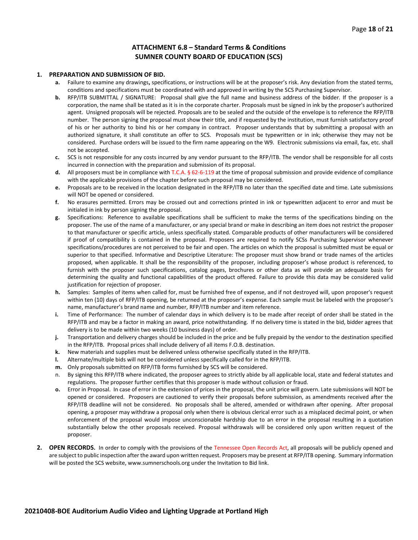#### **ATTACHMENT 6.8 – Standard Terms & Conditions SUMNER COUNTY BOARD OF EDUCATION (SCS)**

#### **1. PREPARATION AND SUBMISSION OF BID.**

- **a.** Failure to examine any drawings**,** specifications, or instructions will be at the proposer's risk. Any deviation from the stated terms, conditions and specifications must be coordinated with and approved in writing by the SCS Purchasing Supervisor.
- **b.** RFP/ITB SUBMITTAL / SIGNATURE: Proposal shall give the full name and business address of the bidder. If the proposer is a corporation, the name shall be stated as it is in the corporate charter. Proposals must be signed in ink by the proposer's authorized agent. Unsigned proposals will be rejected. Proposals are to be sealed and the outside of the envelope is to reference the RFP/ITB number. The person signing the proposal must show their title, and if requested by the institution, must furnish satisfactory proof of his or her authority to bind his or her company in contract. Proposer understands that by submitting a proposal with an authorized signature, it shall constitute an offer to SCS. Proposals must be typewritten or in ink; otherwise they may not be considered. Purchase orders will be issued to the firm name appearing on the W9. Electronic submissions via email, fax, etc. shall not be accepted.
- **c.** SCS is not responsible for any costs incurred by any vendor pursuant to the RFP/ITB. The vendor shall be responsible for all costs incurred in connection with the preparation and submission of its proposal.
- **d.** All proposers must be in compliance with T.C.A. § 62-6-119 at the time of proposal submission and provide evidence of compliance with the applicable provisions of the chapter before such proposal may be considered.
- **e.** Proposals are to be received in the location designated in the RFP/ITB no later than the specified date and time. Late submissions will NOT be opened or considered.
- **f.** No erasures permitted. Errors may be crossed out and corrections printed in ink or typewritten adjacent to error and must be initialed in ink by person signing the proposal.
- **g.** Specifications: Reference to available specifications shall be sufficient to make the terms of the specifications binding on the proposer. The use of the name of a manufacturer, or any special brand or make in describing an item does not restrict the proposer to that manufacturer or specific article, unless specifically stated. Comparable products of other manufacturers will be considered if proof of compatibility is contained in the proposal. Proposers are required to notify SCSs Purchasing Supervisor whenever specifications/procedures are not perceived to be fair and open. The articles on which the proposal is submitted must be equal or superior to that specified. Informative and Descriptive Literature: The proposer must show brand or trade names of the articles proposed, when applicable. It shall be the responsibility of the proposer, including proposer's whose product is referenced, to furnish with the proposer such specifications, catalog pages, brochures or other data as will provide an adequate basis for determining the quality and functional capabilities of the product offered. Failure to provide this data may be considered valid justification for rejection of proposer.
- **h.** Samples: Samples of items when called for, must be furnished free of expense, and if not destroyed will, upon proposer's request within ten (10) days of RFP/ITB opening, be returned at the proposer's expense. Each sample must be labeled with the proposer's name, manufacturer's brand name and number, RFP/ITB number and item reference.
- **i.** Time of Performance: The number of calendar days in which delivery is to be made after receipt of order shall be stated in the RFP/ITB and may be a factor in making an award, price notwithstanding. If no delivery time is stated in the bid, bidder agrees that delivery is to be made within two weeks (10 business days) of order.
- **j.** Transportation and delivery charges should be included in the price and be fully prepaid by the vendor to the destination specified in the RFP/ITB. Proposal prices shall include delivery of all items F.O.B. destination.
- **k.** New materials and supplies must be delivered unless otherwise specifically stated in the RFP/ITB.
- **l.** Alternate/multiple bids will not be considered unless specifically called for in the RFP/ITB.
- **m.** Only proposals submitted on RFP/ITB forms furnished by SCS will be considered.
- n. By signing this RFP/ITB where indicated, the proposer agrees to strictly abide by all applicable local, state and federal statutes and regulations. The proposer further certifies that this proposer is made without collusion or fraud.
- **o.** Error in Proposal. In case of error in the extension of prices in the proposal, the unit price will govern. Late submissions will NOT be opened or considered. Proposers are cautioned to verify their proposals before submission, as amendments received after the RFP/ITB deadline will not be considered. No proposals shall be altered, amended or withdrawn after opening. After proposal opening, a proposer may withdraw a proposal only when there is obvious clerical error such as a misplaced decimal point, or when enforcement of the proposal would impose unconscionable hardship due to an error in the proposal resulting in a quotation substantially below the other proposals received. Proposal withdrawals will be considered only upon written request of the proposer.
- **2. OPEN RECORDS.** In order to comply with the provisions of the Tennessee Open Records Act, all proposals will be publicly opened and are subject to public inspection after the award upon written request. Proposers may be present at RFP/ITB opening. Summary information will be posted the SCS website, www.sumnerschools.org under the Invitation to Bid link.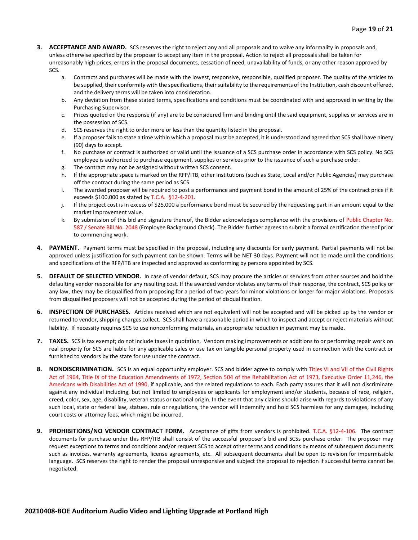- **3. ACCEPTANCE AND AWARD.** SCS reserves the right to reject any and all proposals and to waive any informality in proposals and, unless otherwise specified by the proposer to accept any item in the proposal. Action to reject all proposals shall be taken for unreasonably high prices, errors in the proposal documents, cessation of need, unavailability of funds, or any other reason approved by SCS.
	- a. Contracts and purchases will be made with the lowest, responsive, responsible, qualified proposer. The quality of the articles to be supplied, their conformity with the specifications, their suitability to the requirements of the Institution, cash discount offered, and the delivery terms will be taken into consideration.
	- b. Any deviation from these stated terms, specifications and conditions must be coordinated with and approved in writing by the Purchasing Supervisor.
	- c. Prices quoted on the response (if any) are to be considered firm and binding until the said equipment, supplies or services are in the possession of SCS.
	- d. SCS reserves the right to order more or less than the quantity listed in the proposal.
	- e. If a proposer fails to state a time within which a proposal must be accepted, it is understood and agreed that SCS shall have ninety (90) days to accept.
	- f. No purchase or contract is authorized or valid until the issuance of a SCS purchase order in accordance with SCS policy. No SCS employee is authorized to purchase equipment, supplies or services prior to the issuance of such a purchase order.
	- g. The contract may not be assigned without written SCS consent.
	- h. If the appropriate space is marked on the RFP/ITB, other Institutions (such as State, Local and/or Public Agencies) may purchase off the contract during the same period as SCS.
	- i. The awarded proposer will be required to post a performance and payment bond in the amount of 25% of the contract price if it exceeds \$100,000 as stated by T.C.A. §12-4-201.
	- j. If the project cost is in excess of \$25,000 a performance bond must be secured by the requesting part in an amount equal to the market improvement value.
	- k. By submission of this bid and signature thereof, the Bidder acknowledges compliance with the provisions of Public Chapter No. 587 / Senate Bill No. 2048 (Employee Background Check). The Bidder further agrees to submit a formal certification thereof prior to commencing work.
- **4. PAYMENT**. Payment terms must be specified in the proposal, including any discounts for early payment. Partial payments will not be approved unless justification for such payment can be shown. Terms will be NET 30 days. Payment will not be made until the conditions and specifications of the RFP/ITB are inspected and approved as conforming by persons appointed by SCS.
- **5. DEFAULT OF SELECTED VENDOR.** In case of vendor default, SCS may procure the articles or services from other sources and hold the defaulting vendor responsible for any resulting cost. If the awarded vendor violates any terms of their response, the contract, SCS policy or any law, they may be disqualified from proposing for a period of two years for minor violations or longer for major violations. Proposals from disqualified proposers will not be accepted during the period of disqualification.
- **6. INSPECTION OF PURCHASES.** Articles received which are not equivalent will not be accepted and will be picked up by the vendor or returned to vendor, shipping charges collect. SCS shall have a reasonable period in which to inspect and accept or reject materials without liability. If necessity requires SCS to use nonconforming materials, an appropriate reduction in payment may be made.
- **7. TAXES.** SCS is tax exempt; do not include taxes in quotation. Vendors making improvements or additions to or performing repair work on real property for SCS are liable for any applicable sales or use tax on tangible personal property used in connection with the contract or furnished to vendors by the state for use under the contract.
- **8. NONDISCRIMINATION.** SCS is an equal opportunity employer. SCS and bidder agree to comply with Titles VI and VII of the Civil Rights Act of 1964, Title IX of the Education Amendments of 1972, Section 504 of the Rehabilitation Act of 1973, Executive Order 11,246, the Americans with Disabilities Act of 1990, if applicable, and the related regulations to each. Each party assures that it will not discriminate against any individual including, but not limited to employees or applicants for employment and/or students, because of race, religion, creed, color, sex, age, disability, veteran status or national origin. In the event that any claims should arise with regards to violations of any such local, state or federal law, statues, rule or regulations, the vendor will indemnify and hold SCS harmless for any damages, including court costs or attorney fees, which might be incurred.
- **9. PROHIBITIONS/NO VENDOR CONTRACT FORM.** Acceptance of gifts from vendors is prohibited. T.C.A. §12-4-106. The contract documents for purchase under this RFP/ITB shall consist of the successful proposer's bid and SCSs purchase order. The proposer may request exceptions to terms and conditions and/or request SCS to accept other terms and conditions by means of subsequent documents such as invoices, warranty agreements, license agreements, etc. All subsequent documents shall be open to revision for impermissible language. SCS reserves the right to render the proposal unresponsive and subject the proposal to rejection if successful terms cannot be negotiated.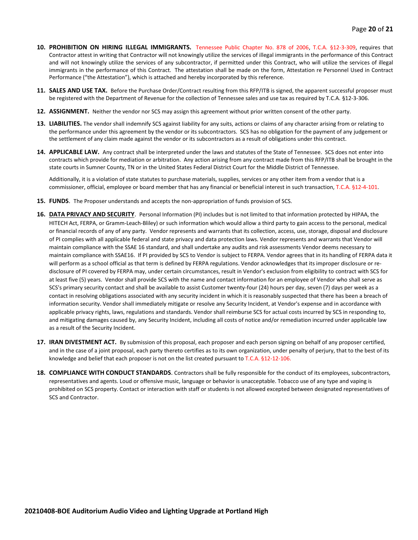- **10. PROHIBITION ON HIRING ILLEGAL IMMIGRANTS.** Tennessee Public Chapter No. 878 of 2006, T.C.A. §12-3-309, requires that Contractor attest in writing that Contractor will not knowingly utilize the services of illegal immigrants in the performance of this Contract and will not knowingly utilize the services of any subcontractor, if permitted under this Contract, who will utilize the services of illegal immigrants in the performance of this Contract. The attestation shall be made on the form, Attestation re Personnel Used in Contract Performance ("the Attestation"), which is attached and hereby incorporated by this reference.
- **11. SALES AND USE TAX.** Before the Purchase Order/Contract resulting from this RFP/ITB is signed, the apparent successful proposer must be registered with the Department of Revenue for the collection of Tennessee sales and use tax as required by T.C.A. §12-3-306.
- **12. ASSIGNMENT.** Neither the vendor nor SCS may assign this agreement without prior written consent of the other party.
- **13. LIABILITIES.** The vendor shall indemnify SCS against liability for any suits, actions or claims of any character arising from or relating to the performance under this agreement by the vendor or its subcontractors. SCS has no obligation for the payment of any judgement or the settlement of any claim made against the vendor or its subcontractors as a result of obligations under this contract.
- **14. APPLICABLE LAW.** Any contract shall be interpreted under the laws and statutes of the State of Tennessee. SCS does not enter into contracts which provide for mediation or arbitration. Any action arising from any contract made from this RFP/ITB shall be brought in the state courts in Sumner County, TN or in the United States Federal District Court for the Middle District of Tennessee.

Additionally, it is a violation of state statutes to purchase materials, supplies, services or any other item from a vendor that is a commissioner, official, employee or board member that has any financial or beneficial interest in such transaction, T.C.A. §12-4-101.

- **15. FUNDS**. The Proposer understands and accepts the non-appropriation of funds provision of SCS.
- **16. DATA PRIVACY AND SECURITY**. Personal Information (PI) includes but is not limited to that information protected by HIPAA, the HITECH Act, FERPA, or Gramm-Leach-Bliley) or such information which would allow a third party to gain access to the personal, medical or financial records of any of any party. Vendor represents and warrants that its collection, access, use, storage, disposal and disclosure of PI complies with all applicable federal and state privacy and data protection laws. Vendor represents and warrants that Vendor will maintain compliance with the SSAE 16 standard, and shall undertake any audits and risk assessments Vendor deems necessary to maintain compliance with SSAE16. If PI provided by SCS to Vendor is subject to FERPA. Vendor agrees that in its handling of FERPA data it will perform as a school official as that term is defined by FERPA regulations. Vendor acknowledges that its improper disclosure or redisclosure of PI covered by FERPA may, under certain circumstances, result in Vendor's exclusion from eligibility to contract with SCS for at least five (5) years. Vendor shall provide SCS with the name and contact information for an employee of Vendor who shall serve as SCS's primary security contact and shall be available to assist Customer twenty-four (24) hours per day, seven (7) days per week as a contact in resolving obligations associated with any security incident in which it is reasonably suspected that there has been a breach of information security. Vendor shall immediately mitigate or resolve any Security Incident, at Vendor's expense and in accordance with applicable privacy rights, laws, regulations and standards. Vendor shall reimburse SCS for actual costs incurred by SCS in responding to, and mitigating damages caused by, any Security Incident, including all costs of notice and/or remediation incurred under applicable law as a result of the Security Incident.
- **17. IRAN DIVESTMENT ACT.** By submission of this proposal, each proposer and each person signing on behalf of any proposer certified, and in the case of a joint proposal, each party thereto certifies as to its own organization, under penalty of perjury, that to the best of its knowledge and belief that each proposer is not on the list created pursuant to T.C.A. §12-12-106.
- **18. COMPLIANCE WITH CONDUCT STANDARDS**. Contractors shall be fully responsible for the conduct of its employees, subcontractors, representatives and agents. Loud or offensive music, language or behavior is unacceptable. Tobacco use of any type and vaping is prohibited on SCS property. Contact or interaction with staff or students is not allowed excepted between designated representatives of SCS and Contractor.